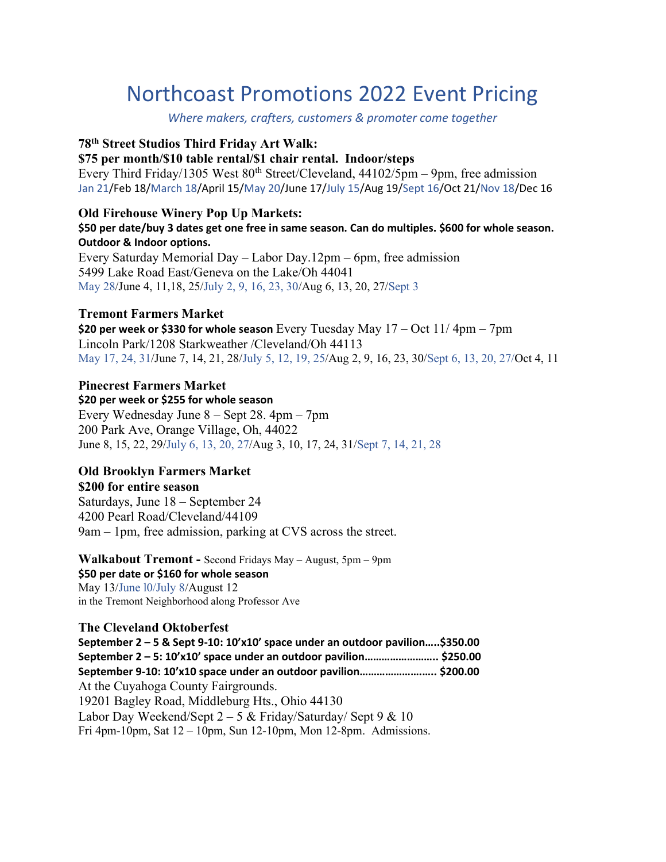# Northcoast Promotions 2022 Event Pricing

Where makers, crafters, customers & promoter come together

### 78th Street Studios Third Friday Art Walk:

### \$75 per month/\$10 table rental/\$1 chair rental. Indoor/steps

Every Third Friday/1305 West  $80^{th}$  Street/Cleveland,  $44102/5$ pm – 9pm, free admission Jan 21/Feb 18/March 18/April 15/May 20/June 17/July 15/Aug 19/Sept 16/Oct 21/Nov 18/Dec 16

### Old Firehouse Winery Pop Up Markets:

### \$50 per date/buy 3 dates get one free in same season. Can do multiples. \$600 for whole season. Outdoor & Indoor options.

Every Saturday Memorial Day – Labor Day.12pm – 6pm, free admission 5499 Lake Road East/Geneva on the Lake/Oh 44041 May 28/June 4, 11,18, 25/July 2, 9, 16, 23, 30/Aug 6, 13, 20, 27/Sept 3

### Tremont Farmers Market

\$20 per week or \$330 for whole season Every Tuesday May  $17 - Oct 11/4pm - 7pm$ Lincoln Park/1208 Starkweather /Cleveland/Oh 44113 May 17, 24, 31/June 7, 14, 21, 28/July 5, 12, 19, 25/Aug 2, 9, 16, 23, 30/Sept 6, 13, 20, 27/Oct 4, 11

### Pinecrest Farmers Market

\$20 per week or \$255 for whole season Every Wednesday June 8 – Sept 28. 4pm – 7pm 200 Park Ave, Orange Village, Oh, 44022 June 8, 15, 22, 29/July 6, 13, 20, 27/Aug 3, 10, 17, 24, 31/Sept 7, 14, 21, 28

### Old Brooklyn Farmers Market

### \$200 for entire season

Saturdays, June 18 – September 24 4200 Pearl Road/Cleveland/44109 9am – 1pm, free admission, parking at CVS across the street.

#### Walkabout Tremont - Second Fridays May – August, 5pm – 9pm \$50 per date or \$160 for whole season

May 13/June l0/July 8/August 12 in the Tremont Neighborhood along Professor Ave

### The Cleveland Oktoberfest

September 2 – 5 & Sept 9-10: 10'x10' space under an outdoor pavilion…..\$350.00 September 2 – 5: 10'x10' space under an outdoor pavilion…………………….. \$250.00 September 9-10: 10'x10 space under an outdoor pavilion………………….….. \$200.00 At the Cuyahoga County Fairgrounds. 19201 Bagley Road, Middleburg Hts., Ohio 44130 Labor Day Weekend/Sept  $2 - 5$  & Friday/Saturday/Sept 9 & 10 Fri 4pm-10pm, Sat 12 – 10pm, Sun 12-10pm, Mon 12-8pm. Admissions.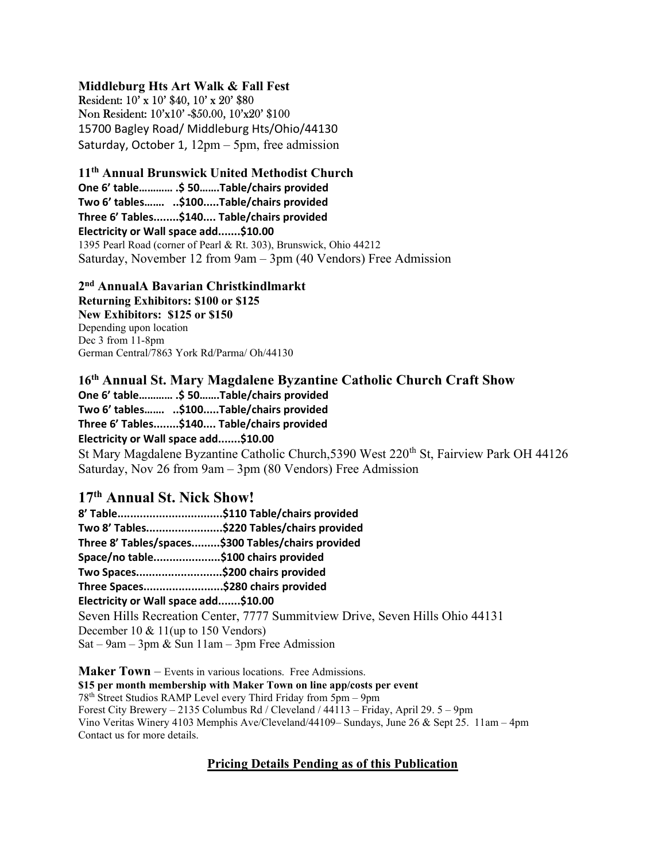Middleburg Hts Art Walk & Fall Fest Resident: 10' x 10' \$40, 10' x 20' \$80 Non Resident: 10'x10' -\$50.00, 10'x20' \$100 15700 Bagley Road/ Middleburg Hts/Ohio/44130 Saturday, October 1, 12pm – 5pm, free admission

11th Annual Brunswick United Methodist Church One 6' table………… .\$ 50…….Table/chairs provided

Two 6' tables……. ..\$100.....Table/chairs provided Three 6' Tables........\$140.... Table/chairs provided Electricity or Wall space add.......\$10.00 1395 Pearl Road (corner of Pearl & Rt. 303), Brunswick, Ohio 44212

Saturday, November 12 from 9am – 3pm (40 Vendors) Free Admission

2 nd AnnualA Bavarian Christkindlmarkt Returning Exhibitors: \$100 or \$125 New Exhibitors: \$125 or \$150 Depending upon location Dec 3 from 11-8pm German Central/7863 York Rd/Parma/ Oh/44130

### 16th Annual St. Mary Magdalene Byzantine Catholic Church Craft Show

One 6' table………… .\$ 50…….Table/chairs provided Two 6' tables……. ..\$100.....Table/chairs provided Three 6' Tables........\$140.... Table/chairs provided Electricity or Wall space add.......\$10.00

St Mary Magdalene Byzantine Catholic Church, 5390 West 220<sup>th</sup> St, Fairview Park OH 44126 Saturday, Nov 26 from 9am – 3pm (80 Vendors) Free Admission

## 17th Annual St. Nick Show!

8' Table.................................\$110 Table/chairs provided Two 8' Tables........................\$220 Tables/chairs provided Three 8' Tables/spaces.........\$300 Tables/chairs provided Space/no table.....................\$100 chairs provided Two Spaces...........................\$200 chairs provided Three Spaces.........................\$280 chairs provided Electricity or Wall space add.......\$10.00 Seven Hills Recreation Center, 7777 Summitview Drive, Seven Hills Ohio 44131 December 10 & 11(up to 150 Vendors) Sat – 9am – 3pm & Sun 11am – 3pm Free Admission

Maker Town – Events in various locations. Free Admissions. \$15 per month membership with Maker Town on line app/costs per event 78th Street Studios RAMP Level every Third Friday from 5pm – 9pm Forest City Brewery – 2135 Columbus Rd / Cleveland / 44113 – Friday, April 29. 5 – 9pm Vino Veritas Winery 4103 Memphis Ave/Cleveland/44109– Sundays, June 26 & Sept 25. 11am – 4pm Contact us for more details.

### Pricing Details Pending as of this Publication